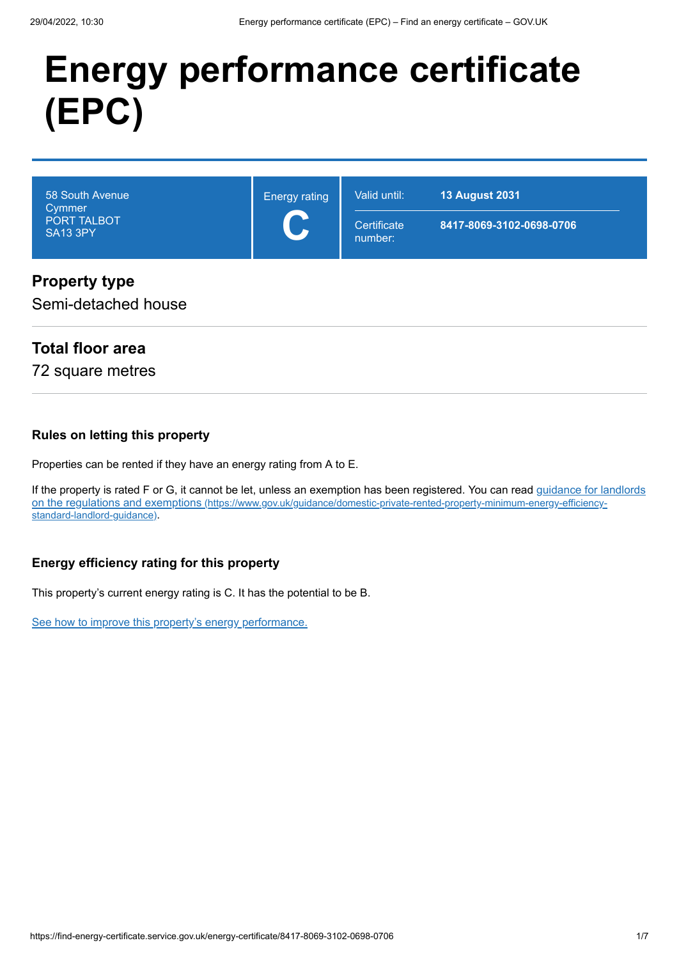# **Energy performance certificate (EPC)**

| 58 South Avenue<br>Cymmer<br>PORT TALBOT<br>SA13 3PY | <b>Energy rating</b><br>$\blacktriangleright$ | Valid until:<br>Certificate<br>number: | <b>13 August 2031</b><br>8417-8069-3102-0698-0706 |
|------------------------------------------------------|-----------------------------------------------|----------------------------------------|---------------------------------------------------|
| <b>Property type</b>                                 |                                               |                                        |                                                   |

### Semi-detached house

# **Total floor area**

72 square metres

#### **Rules on letting this property**

Properties can be rented if they have an energy rating from A to E.

[If the property is rated F or G, it cannot be let, unless an exemption has been registered. You can read guidance for landlords](https://www.gov.uk/guidance/domestic-private-rented-property-minimum-energy-efficiency-standard-landlord-guidance) on the regulations and exemptions (https://www.gov.uk/guidance/domestic-private-rented-property-minimum-energy-efficiencystandard-landlord-guidance).

### **Energy efficiency rating for this property**

This property's current energy rating is C. It has the potential to be B.

[See how to improve this property's energy performance.](#page-3-0)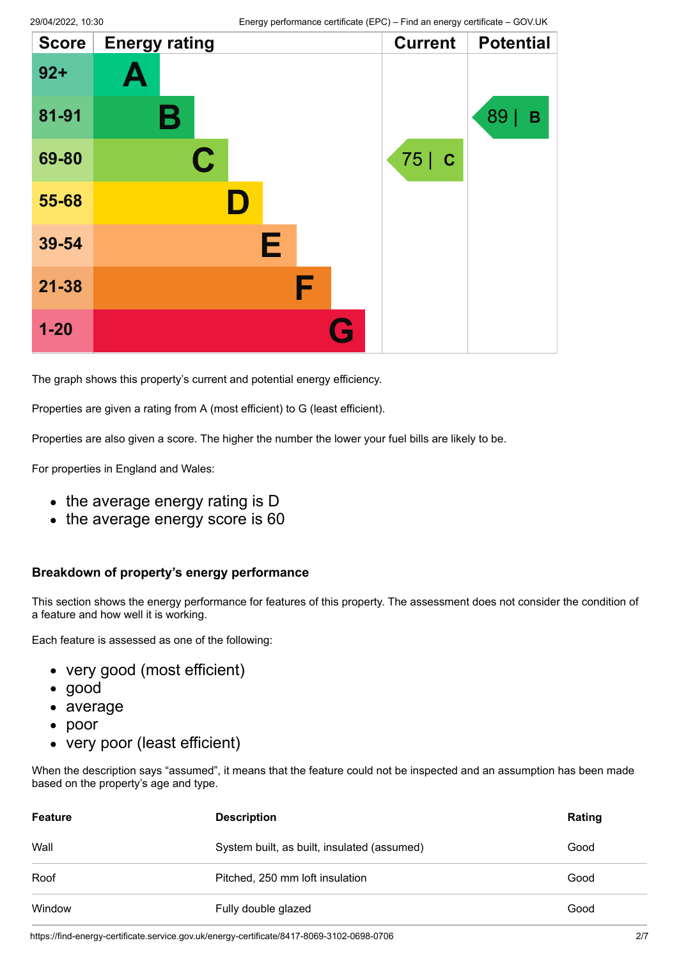| <b>Score</b> | <b>Energy rating</b> |   | <b>Current</b> | <b>Potential</b> |
|--------------|----------------------|---|----------------|------------------|
| $92 +$       | Ą                    |   |                |                  |
| 81-91        | В                    |   |                | 89<br>B          |
| 69-80        | $\mathbf C$          |   | 75   C         |                  |
| 55-68        | ID.                  |   |                |                  |
| 39-54        | Е                    |   |                |                  |
| $21 - 38$    |                      | F |                |                  |
| $1 - 20$     |                      | G |                |                  |

The graph shows this property's current and potential energy efficiency.

Properties are given a rating from A (most efficient) to G (least efficient).

Properties are also given a score. The higher the number the lower your fuel bills are likely to be.

For properties in England and Wales:

- the average energy rating is D
- the average energy score is 60

#### **Breakdown of property's energy performance**

This section shows the energy performance for features of this property. The assessment does not consider the condition of a feature and how well it is working.

Each feature is assessed as one of the following:

- very good (most efficient)
- good
- average
- poor
- very poor (least efficient)

When the description says "assumed", it means that the feature could not be inspected and an assumption has been made based on the property's age and type.

| <b>Feature</b> | <b>Description</b>                          | Rating |
|----------------|---------------------------------------------|--------|
| Wall           | System built, as built, insulated (assumed) | Good   |
| Roof           | Pitched, 250 mm loft insulation             | Good   |
| Window         | Fully double glazed                         | Good   |

https://find-energy-certificate.service.gov.uk/energy-certificate/8417-8069-3102-0698-0706 2/7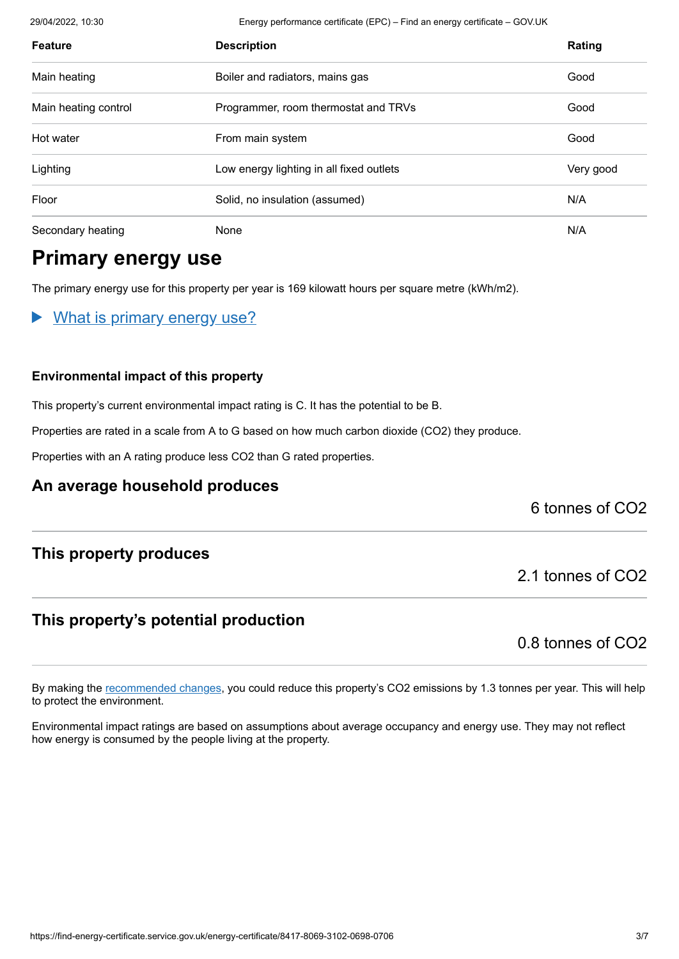29/04/2022, 10:30 Energy performance certificate (EPC) – Find an energy certificate – GOV.UK

| <b>Feature</b>       | <b>Description</b>                       | Rating    |
|----------------------|------------------------------------------|-----------|
| Main heating         | Boiler and radiators, mains gas          | Good      |
| Main heating control | Programmer, room thermostat and TRVs     | Good      |
| Hot water            | From main system                         | Good      |
| Lighting             | Low energy lighting in all fixed outlets | Very good |
| Floor                | Solid, no insulation (assumed)           | N/A       |
| Secondary heating    | None                                     | N/A       |

# **Primary energy use**

The primary energy use for this property per year is 169 kilowatt hours per square metre (kWh/m2).

What is primary energy use?

#### **Environmental impact of this property**

This property's current environmental impact rating is C. It has the potential to be B.

Properties are rated in a scale from A to G based on how much carbon dioxide (CO2) they produce.

Properties with an A rating produce less CO2 than G rated properties.

### **An average household produces**

### 6 tonnes of CO2

### **This property produces**

### **This property's potential production**

0.8 tonnes of CO2

2.1 tonnes of CO2

By making the [recommended changes](#page-3-0), you could reduce this property's CO2 emissions by 1.3 tonnes per year. This will help to protect the environment.

Environmental impact ratings are based on assumptions about average occupancy and energy use. They may not reflect how energy is consumed by the people living at the property.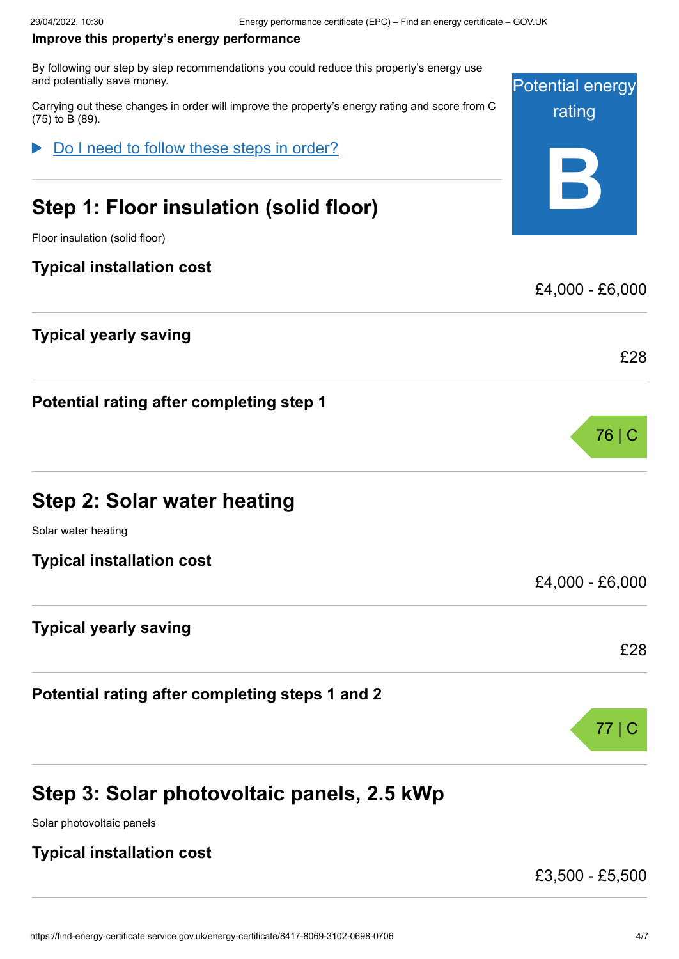#### <span id="page-3-0"></span>**Improve this property's energy performance**

By following our step by step recommendations you could reduce this property's energy use and potentially save money.

Carrying out these changes in order will improve the property's energy rating and score from C (75) to B (89).

Do I need to follow these steps in order?

# **Step 1: Floor insulation (solid floor)**

Floor insulation (solid floor)

### **Typical installation cost**

### **Typical yearly saving**

**Potential rating after completing step 1**

|  |  |  |  | Step 2: Solar water heating |
|--|--|--|--|-----------------------------|
|--|--|--|--|-----------------------------|

Solar water heating

**Typical installation cost**

### **Typical yearly saving**

**Potential rating after completing steps 1 and 2**

# **Step 3: Solar photovoltaic panels, 2.5 kWp**

Solar photovoltaic panels

### **Typical installation cost**

£3,500 - £5,500

Potential energy

rating

**B**

£4,000 - £6,000

£28

76 | C

£4,000 - £6,000

£28

77 | C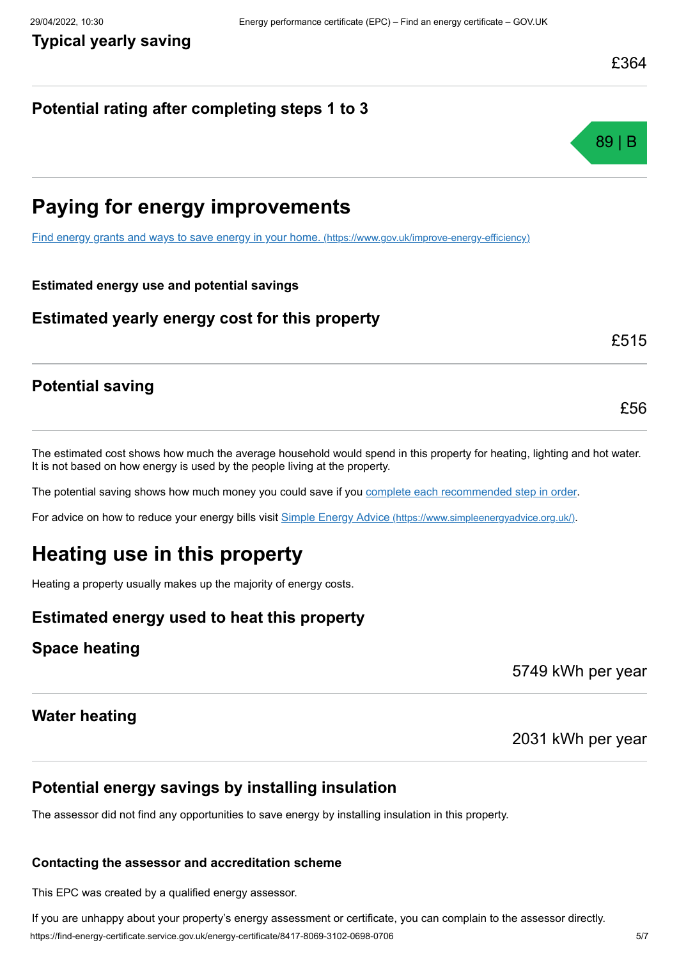## **Potential rating after completing steps 1 to 3**



# **Paying for energy improvements**

[Find energy grants and ways to save energy in your home.](https://www.gov.uk/improve-energy-efficiency) (https://www.gov.uk/improve-energy-efficiency)

#### **Estimated energy use and potential savings**

### **Estimated yearly energy cost for this property**

£515

£56

### **Potential saving**

The estimated cost shows how much the average household would spend in this property for heating, lighting and hot water. It is not based on how energy is used by the people living at the property.

The potential saving shows how much money you could save if you [complete each recommended step in order](#page-3-0).

For advice on how to reduce your energy bills visit Simple Energy Advice [\(https://www.simpleenergyadvice.org.uk/\)](https://www.simpleenergyadvice.org.uk/).

# **Heating use in this property**

Heating a property usually makes up the majority of energy costs.

### **Estimated energy used to heat this property**

### **Space heating**

5749 kWh per year

### **Water heating**

2031 kWh per year

### **Potential energy savings by installing insulation**

The assessor did not find any opportunities to save energy by installing insulation in this property.

#### **Contacting the assessor and accreditation scheme**

This EPC was created by a qualified energy assessor.

https://find-energy-certificate.service.gov.uk/energy-certificate/8417-8069-3102-0698-0706 5/7 If you are unhappy about your property's energy assessment or certificate, you can complain to the assessor directly.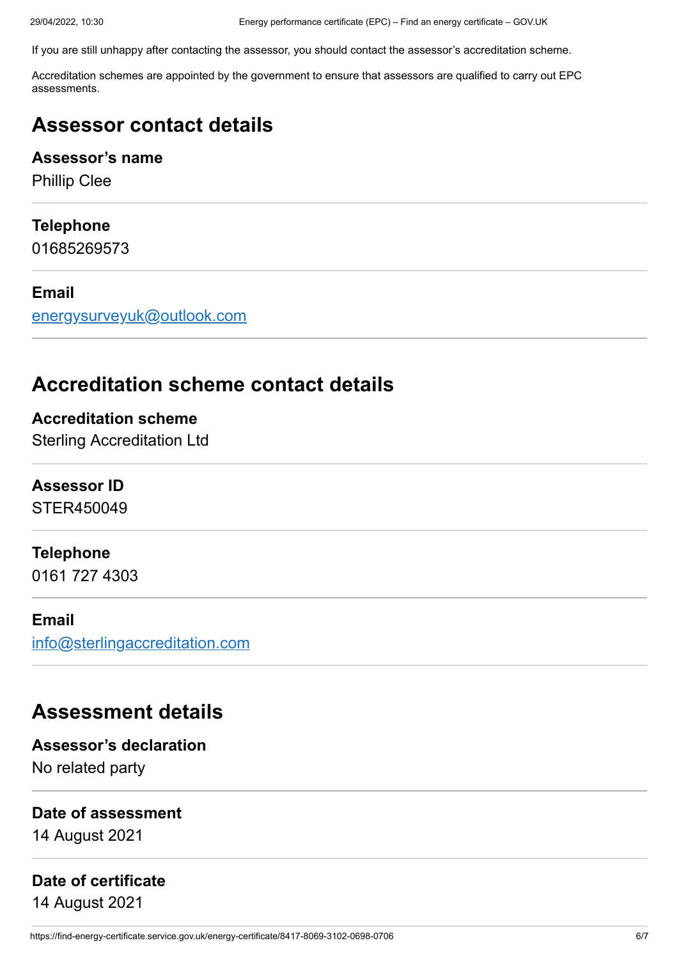If you are still unhappy after contacting the assessor, you should contact the assessor's accreditation scheme.

Accreditation schemes are appointed by the government to ensure that assessors are qualified to carry out EPC assessments.

# **Assessor contact details**

### **Assessor's name**

Phillip Clee

### **Telephone**

01685269573

### **Email**

[energysurveyuk@outlook.com](mailto:energysurveyuk@outlook.com)

# **Accreditation scheme contact details**

**Accreditation scheme** Sterling Accreditation Ltd

### **Assessor ID**

STER450049

### **Telephone**

0161 727 4303

### **Email**

[info@sterlingaccreditation.com](mailto:info@sterlingaccreditation.com)

# **Assessment details**

**Assessor's declaration** No related party

#### **Date of assessment**

14 August 2021

### **Date of certificate**

14 August 2021